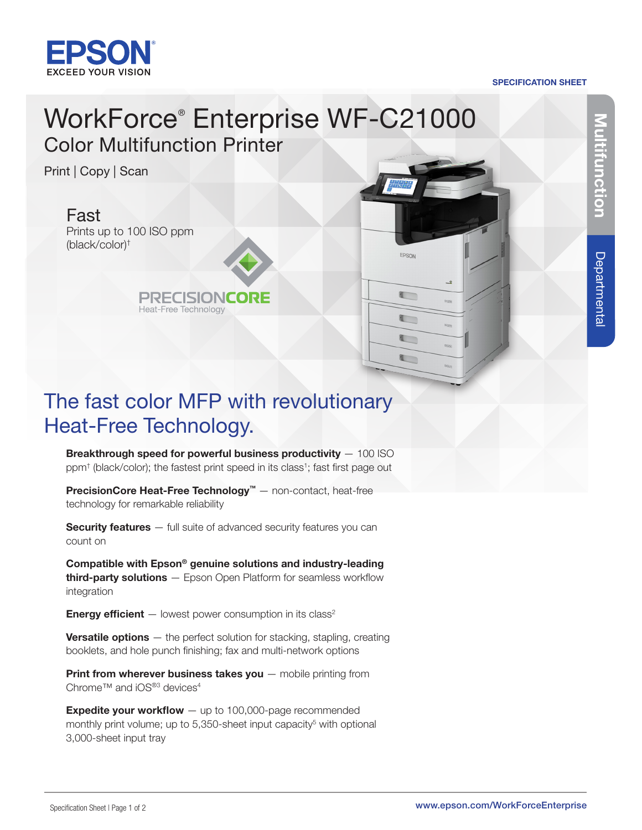

#### SPECIFICATION SHEET

## WorkForce® Enterprise WF-C21000 Color Multifunction Printer

Print | Copy | Scan





## The fast color MFP with revolutionary Heat-Free Technology.

Breakthrough speed for powerful business productivity  $-100$  ISO ppm<sup>+</sup> (black/color); the fastest print speed in its class<sup>1</sup>; fast first page out

PrecisionCore Heat-Free Technology<sup>™</sup> – non-contact, heat-free technology for remarkable reliability

**Security features**  $-$  full suite of advanced security features you can count on

Compatible with Epson® genuine solutions and industry-leading third-party solutions - Epson Open Platform for seamless workflow integration

**Energy efficient**  $-$  lowest power consumption in its class<sup>2</sup>

Versatile options - the perfect solution for stacking, stapling, creating booklets, and hole punch finishing; fax and multi-network options

**Print from wherever business takes you**  $-$  mobile printing from Chrome™ and iOS®3 devices<sup>4</sup>

**Expedite your workflow**  $-$  up to 100,000-page recommended monthly print volume; up to  $5,350$ -sheet input capacity<sup>5</sup> with optional 3,000-sheet input tray